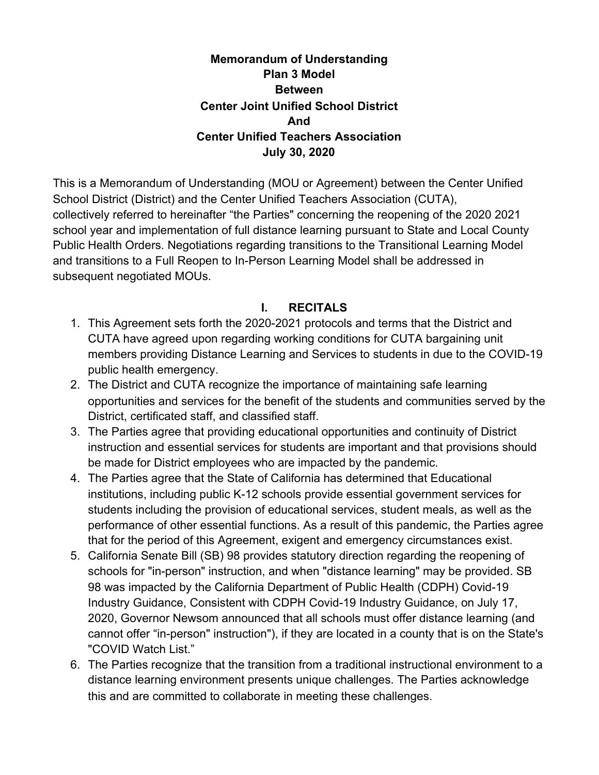#### **Memorandum of Understanding Plan 3 Model Between Center Joint Unified School District And Center Unified Teachers Association July 30, 2020**

This is a Memorandum of Understanding (MOU or Agreement) between the Center Unified School District (District) and the Center Unified Teachers Association (CUTA), collectively referred to hereinafter "the Parties" concerning the reopening of the 2020 2021 school year and implementation of full distance learning pursuant to State and Local County Public Health Orders. Negotiations regarding transitions to the Transitional Learning Model and transitions to a Full Reopen to In-Person Learning Model shall be addressed in subsequent negotiated MOUs.

#### **I. RECITALS**

- 1. This Agreement sets forth the 2020-2021 protocols and terms that the District and CUTA have agreed upon regarding working conditions for CUTA bargaining unit members providing Distance Learning and Services to students in due to the COVID-19 public health emergency.
- 2. The District and CUTA recognize the importance of maintaining safe learning opportunities and services for the benefit of the students and communities served by the District, certificated staff, and classified staff.
- 3. The Parties agree that providing educational opportunities and continuity of District instruction and essential services for students are important and that provisions should be made for District employees who are impacted by the pandemic.
- 4. The Parties agree that the State of California has determined that Educational institutions, including public K-12 schools provide essential government services for students including the provision of educational services, student meals, as well as the performance of other essential functions. As a result of this pandemic, the Parties agree that for the period of this Agreement, exigent and emergency circumstances exist.
- 5. California Senate Bill (SB) 98 provides statutory direction regarding the reopening of schools for "in-person" instruction, and when "distance learning" may be provided. SB 98 was impacted by the California Department of Public Health (CDPH) Covid-19 Industry Guidance, Consistent with CDPH Covid-19 Industry Guidance, on July 17, 2020, Governor Newsom announced that all schools must offer distance learning (and cannot offer "in-person" instruction"), if they are located in a county that is on the State's "COVID Watch List."
- 6. The Parties recognize that the transition from a traditional instructional environment to a distance learning environment presents unique challenges. The Parties acknowledge this and are committed to collaborate in meeting these challenges.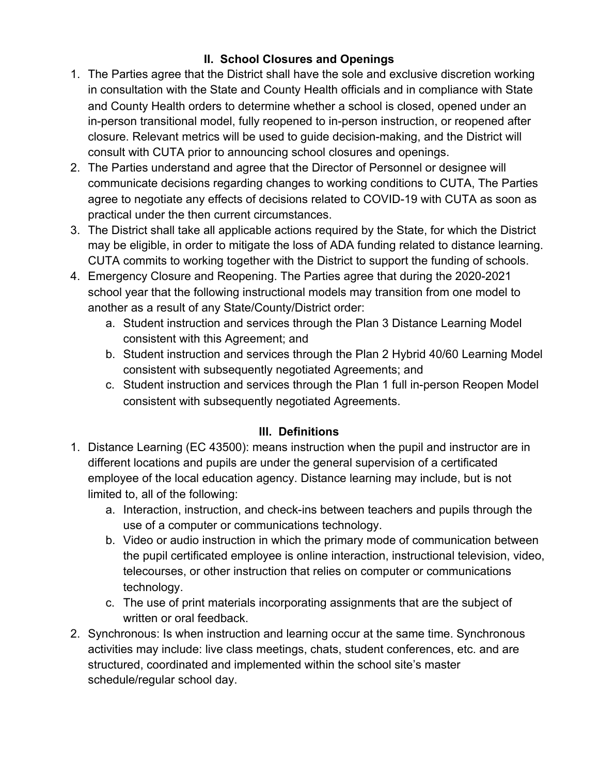# **II. School Closures and Openings**

- 1. The Parties agree that the District shall have the sole and exclusive discretion working in consultation with the State and County Health officials and in compliance with State and County Health orders to determine whether a school is closed, opened under an in-person transitional model, fully reopened to in-person instruction, or reopened after closure. Relevant metrics will be used to guide decision-making, and the District will consult with CUTA prior to announcing school closures and openings.
- 2. The Parties understand and agree that the Director of Personnel or designee will communicate decisions regarding changes to working conditions to CUTA, The Parties agree to negotiate any effects of decisions related to COVID-19 with CUTA as soon as practical under the then current circumstances.
- 3. The District shall take all applicable actions required by the State, for which the District may be eligible, in order to mitigate the loss of ADA funding related to distance learning. CUTA commits to working together with the District to support the funding of schools.
- 4. Emergency Closure and Reopening. The Parties agree that during the 2020-2021 school year that the following instructional models may transition from one model to another as a result of any State/County/District order:
	- a. Student instruction and services through the Plan 3 Distance Learning Model consistent with this Agreement; and
	- b. Student instruction and services through the Plan 2 Hybrid 40/60 Learning Model consistent with subsequently negotiated Agreements; and
	- c. Student instruction and services through the Plan 1 full in-person Reopen Model consistent with subsequently negotiated Agreements.

# **III. Definitions**

- 1. Distance Learning (EC 43500): means instruction when the pupil and instructor are in different locations and pupils are under the general supervision of a certificated employee of the local education agency. Distance learning may include, but is not limited to, all of the following:
	- a. Interaction, instruction, and check-ins between teachers and pupils through the use of a computer or communications technology.
	- b. Video or audio instruction in which the primary mode of communication between the pupil certificated employee is online interaction, instructional television, video, telecourses, or other instruction that relies on computer or communications technology.
	- c. The use of print materials incorporating assignments that are the subject of written or oral feedback.
- 2. Synchronous: Is when instruction and learning occur at the same time. Synchronous activities may include: live class meetings, chats, student conferences, etc. and are structured, coordinated and implemented within the school site's master schedule/regular school day.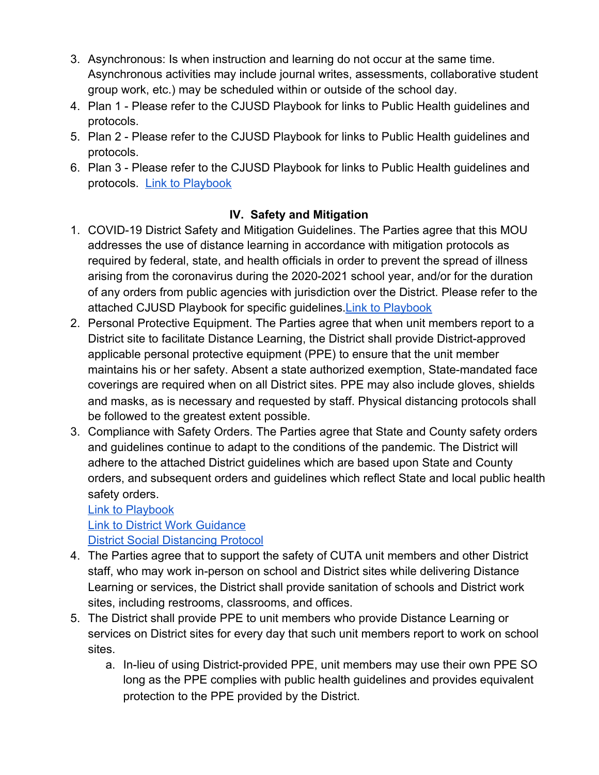- 3. Asynchronous: Is when instruction and learning do not occur at the same time. Asynchronous activities may include journal writes, assessments, collaborative student group work, etc.) may be scheduled within or outside of the school day.
- 4. Plan 1 Please refer to the CJUSD Playbook for links to Public Health guidelines and protocols.
- 5. Plan 2 Please refer to the CJUSD Playbook for links to Public Health guidelines and protocols.
- 6. Plan 3 Please refer to the CJUSD Playbook for links to Public Health guidelines and protocols. [Link to Playbook](https://drive.google.com/file/d/1I0gJUR_5j5cysx2rwrvlWsD_x0o-JLWH/view?usp=sharing)

#### **IV. Safety and Mitigation**

- 1. COVID-19 District Safety and Mitigation Guidelines. The Parties agree that this MOU addresses the use of distance learning in accordance with mitigation protocols as required by federal, state, and health officials in order to prevent the spread of illness arising from the coronavirus during the 2020-2021 school year, and/or for the duration of any orders from public agencies with jurisdiction over the District. Please refer to the attached CJUSD Playbook for specific guidelines[.Link to Playbook](https://drive.google.com/file/d/1I0gJUR_5j5cysx2rwrvlWsD_x0o-JLWH/view?usp=sharing)
- 2. Personal Protective Equipment. The Parties agree that when unit members report to a District site to facilitate Distance Learning, the District shall provide District-approved applicable personal protective equipment (PPE) to ensure that the unit member maintains his or her safety. Absent a state authorized exemption, State-mandated face coverings are required when on all District sites. PPE may also include gloves, shields and masks, as is necessary and requested by staff. Physical distancing protocols shall be followed to the greatest extent possible.
- 3. Compliance with Safety Orders. The Parties agree that State and County safety orders and guidelines continue to adapt to the conditions of the pandemic. The District will adhere to the attached District guidelines which are based upon State and County orders, and subsequent orders and guidelines which reflect State and local public health safety orders.

[Link to Playbook](https://drive.google.com/file/d/1I0gJUR_5j5cysx2rwrvlWsD_x0o-JLWH/view?usp=sharing) [Link to District Work Guidance](https://docs.google.com/document/d/1Zg2WQGnBWY8OfjhdNYhyXxpXfsvcp3-9aqx5735mpxw/edit?usp=sharing) [District Social Distancing Protocol](https://drive.google.com/file/d/1E4x585W2Jsp7oOMOrdKqnPj_T03pepv6/view?usp=sharing)

- 4. The Parties agree that to support the safety of CUTA unit members and other District staff, who may work in-person on school and District sites while delivering Distance Learning or services, the District shall provide sanitation of schools and District work sites, including restrooms, classrooms, and offices.
- 5. The District shall provide PPE to unit members who provide Distance Learning or services on District sites for every day that such unit members report to work on school sites.
	- a. In-lieu of using District-provided PPE, unit members may use their own PPE SO long as the PPE complies with public health guidelines and provides equivalent protection to the PPE provided by the District.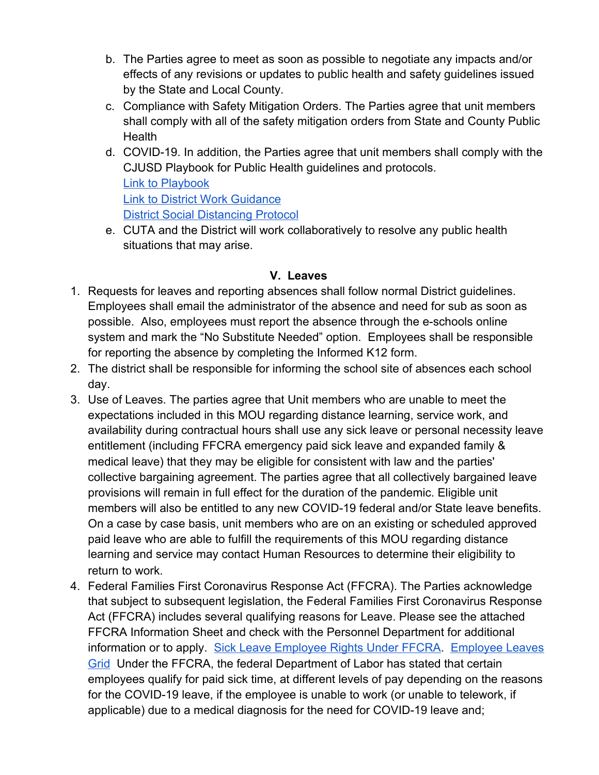- b. The Parties agree to meet as soon as possible to negotiate any impacts and/or effects of any revisions or updates to public health and safety guidelines issued by the State and Local County.
- c. Compliance with Safety Mitigation Orders. The Parties agree that unit members shall comply with all of the safety mitigation orders from State and County Public Health
- d. COVID-19. In addition, the Parties agree that unit members shall comply with the CJUSD Playbook for Public Health guidelines and protocols. [Link to Playbook](https://drive.google.com/file/d/1I0gJUR_5j5cysx2rwrvlWsD_x0o-JLWH/view?usp=sharing) [Link to District Work Guidance](https://docs.google.com/document/d/1Zg2WQGnBWY8OfjhdNYhyXxpXfsvcp3-9aqx5735mpxw/edit?usp=sharing) [District Social Distancing Protocol](https://drive.google.com/file/d/1E4x585W2Jsp7oOMOrdKqnPj_T03pepv6/view?usp=sharing)
- e. CUTA and the District will work collaboratively to resolve any public health situations that may arise.

#### **V. Leaves**

- 1. Requests for leaves and reporting absences shall follow normal District guidelines. Employees shall email the administrator of the absence and need for sub as soon as possible. Also, employees must report the absence through the e-schools online system and mark the "No Substitute Needed" option. Employees shall be responsible for reporting the absence by completing the Informed K12 form.
- 2. The district shall be responsible for informing the school site of absences each school day.
- 3. Use of Leaves. The parties agree that Unit members who are unable to meet the expectations included in this MOU regarding distance learning, service work, and availability during contractual hours shall use any sick leave or personal necessity leave entitlement (including FFCRA emergency paid sick leave and expanded family & medical leave) that they may be eligible for consistent with law and the parties' collective bargaining agreement. The parties agree that all collectively bargained leave provisions will remain in full effect for the duration of the pandemic. Eligible unit members will also be entitled to any new COVID-19 federal and/or State leave benefits. On a case by case basis, unit members who are on an existing or scheduled approved paid leave who are able to fulfill the requirements of this MOU regarding distance learning and service may contact Human Resources to determine their eligibility to return to work.
- 4. Federal Families First Coronavirus Response Act (FFCRA). The Parties acknowledge that subject to subsequent legislation, the Federal Families First Coronavirus Response Act (FFCRA) includes several qualifying reasons for Leave. Please see the attached FFCRA Information Sheet and check with the Personnel Department for additional information or to apply. [Sick Leave Employee Rights Under FFCRA.](https://drive.google.com/file/d/1QWN1Eawyr263KUBBL-biUF8JSJ9anfTg/view?usp=sharing) [Employee Leaves](https://docs.google.com/document/d/1ZZFJB87_2LRQOXvi_429SQGvpviPOSYakecyEAdOYnk/edit?usp=sharing) [Grid](https://docs.google.com/document/d/1ZZFJB87_2LRQOXvi_429SQGvpviPOSYakecyEAdOYnk/edit?usp=sharing) Under the FFCRA, the federal Department of Labor has stated that certain employees qualify for paid sick time, at different levels of pay depending on the reasons for the COVID-19 leave, if the employee is unable to work (or unable to telework, if applicable) due to a medical diagnosis for the need for COVID-19 leave and;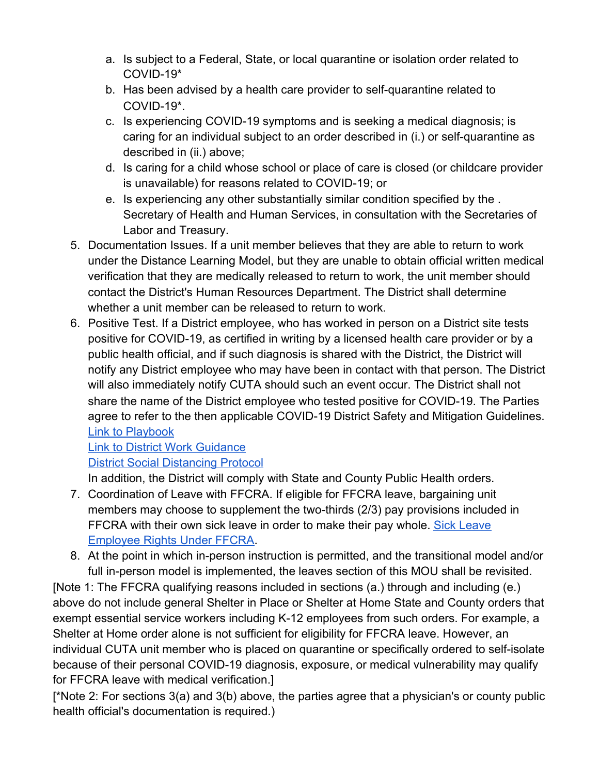- a. Is subject to a Federal, State, or local quarantine or isolation order related to COVID-19\*
- b. Has been advised by a health care provider to self-quarantine related to COVID-19\*.
- c. Is experiencing COVID-19 symptoms and is seeking a medical diagnosis; is caring for an individual subject to an order described in (i.) or self-quarantine as described in (ii.) above;
- d. Is caring for a child whose school or place of care is closed (or childcare provider is unavailable) for reasons related to COVID-19; or
- e. Is experiencing any other substantially similar condition specified by the . Secretary of Health and Human Services, in consultation with the Secretaries of Labor and Treasury.
- 5. Documentation Issues. If a unit member believes that they are able to return to work under the Distance Learning Model, but they are unable to obtain official written medical verification that they are medically released to return to work, the unit member should contact the District's Human Resources Department. The District shall determine whether a unit member can be released to return to work.
- 6. Positive Test. If a District employee, who has worked in person on a District site tests positive for COVID-19, as certified in writing by a licensed health care provider or by a public health official, and if such diagnosis is shared with the District, the District will notify any District employee who may have been in contact with that person. The District will also immediately notify CUTA should such an event occur. The District shall not share the name of the District employee who tested positive for COVID-19. The Parties agree to refer to the then applicable COVID-19 District Safety and Mitigation Guidelines. [Link to Playbook](https://drive.google.com/file/d/1I0gJUR_5j5cysx2rwrvlWsD_x0o-JLWH/view?usp=sharing)

# [Link to District Work Guidance](https://docs.google.com/document/d/1Zg2WQGnBWY8OfjhdNYhyXxpXfsvcp3-9aqx5735mpxw/edit?usp=sharing)

# [District Social Distancing Protocol](https://drive.google.com/file/d/1E4x585W2Jsp7oOMOrdKqnPj_T03pepv6/view?usp=sharing)

In addition, the District will comply with State and County Public Health orders.

- 7. Coordination of Leave with FFCRA. If eligible for FFCRA leave, bargaining unit members may choose to supplement the two-thirds (2/3) pay provisions included in FFCRA with their own sick leave in order to make their pay whole. [Sick Leave](https://drive.google.com/file/d/1QWN1Eawyr263KUBBL-biUF8JSJ9anfTg/view?usp=sharing) [Employee Rights Under FFCRA](https://drive.google.com/file/d/1QWN1Eawyr263KUBBL-biUF8JSJ9anfTg/view?usp=sharing).
- 8. At the point in which in-person instruction is permitted, and the transitional model and/or full in-person model is implemented, the leaves section of this MOU shall be revisited.

[Note 1: The FFCRA qualifying reasons included in sections (a.) through and including (e.) above do not include general Shelter in Place or Shelter at Home State and County orders that exempt essential service workers including K-12 employees from such orders. For example, a Shelter at Home order alone is not sufficient for eligibility for FFCRA leave. However, an individual CUTA unit member who is placed on quarantine or specifically ordered to self-isolate because of their personal COVID-19 diagnosis, exposure, or medical vulnerability may qualify for FFCRA leave with medical verification.]

[\*Note 2: For sections 3(a) and 3(b) above, the parties agree that a physician's or county public health official's documentation is required.)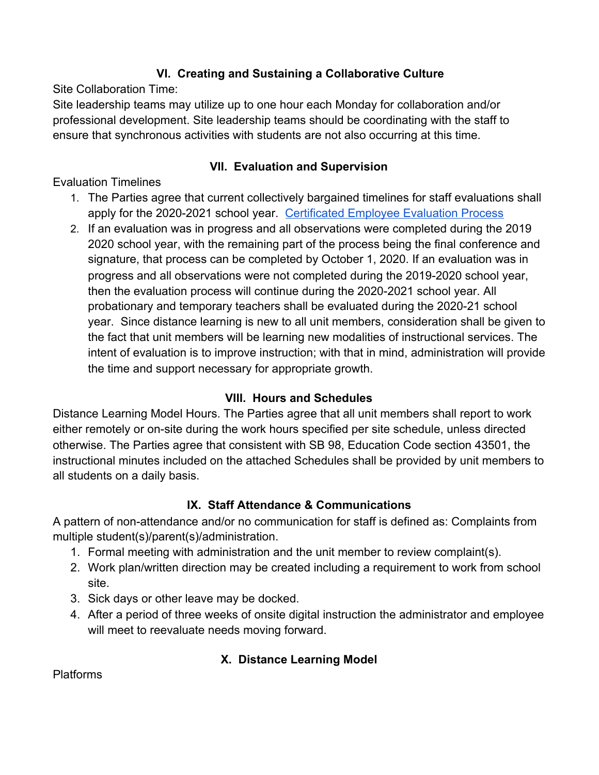## **VI. Creating and Sustaining a Collaborative Culture**

Site Collaboration Time:

Site leadership teams may utilize up to one hour each Monday for collaboration and/or professional development. Site leadership teams should be coordinating with the staff to ensure that synchronous activities with students are not also occurring at this time.

#### **VII. Evaluation and Supervision**

## Evaluation Timelines

- 1. The Parties agree that current collectively bargained timelines for staff evaluations shall apply for the 2020-2021 school year. [Certificated Employee Evaluation Process](https://docs.google.com/document/d/1iw_rksA2pEG6eRi232ECYN_yBXDPVMvYWi5RvynKnPk/edit?usp=sharing)
- 2. If an evaluation was in progress and all observations were completed during the 2019 2020 school year, with the remaining part of the process being the final conference and signature, that process can be completed by October 1, 2020. If an evaluation was in progress and all observations were not completed during the 2019-2020 school year, then the evaluation process will continue during the 2020-2021 school year. All probationary and temporary teachers shall be evaluated during the 2020-21 school year. Since distance learning is new to all unit members, consideration shall be given to the fact that unit members will be learning new modalities of instructional services. The intent of evaluation is to improve instruction; with that in mind, administration will provide the time and support necessary for appropriate growth.

# **VIII. Hours and Schedules**

Distance Learning Model Hours. The Parties agree that all unit members shall report to work either remotely or on-site during the work hours specified per site schedule, unless directed otherwise. The Parties agree that consistent with SB 98, Education Code section 43501, the instructional minutes included on the attached Schedules shall be provided by unit members to all students on a daily basis.

#### **IX. Staff Attendance & Communications**

A pattern of non-attendance and/or no communication for staff is defined as: Complaints from multiple student(s)/parent(s)/administration.

- 1. Formal meeting with administration and the unit member to review complaint(s).
- 2. Work plan/written direction may be created including a requirement to work from school site.
- 3. Sick days or other leave may be docked.
- 4. After a period of three weeks of onsite digital instruction the administrator and employee will meet to reevaluate needs moving forward.

# **X. Distance Learning Model**

Platforms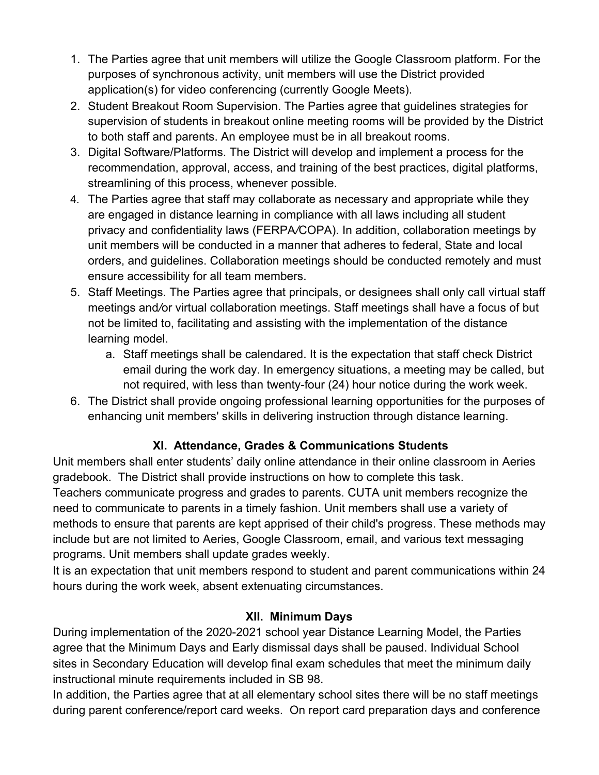- 1. The Parties agree that unit members will utilize the Google Classroom platform. For the purposes of synchronous activity, unit members will use the District provided application(s) for video conferencing (currently Google Meets).
- 2. Student Breakout Room Supervision. The Parties agree that guidelines strategies for supervision of students in breakout online meeting rooms will be provided by the District to both staff and parents. An employee must be in all breakout rooms.
- 3. Digital Software/Platforms. The District will develop and implement a process for the recommendation, approval, access, and training of the best practices, digital platforms, streamlining of this process, whenever possible.
- 4. The Parties agree that staff may collaborate as necessary and appropriate while they are engaged in distance learning in compliance with all laws including all student privacy and confidentiality laws (FERPA*/*COPA). In addition, collaboration meetings by unit members will be conducted in a manner that adheres to federal, State and local orders, and guidelines. Collaboration meetings should be conducted remotely and must ensure accessibility for all team members.
- 5. Staff Meetings. The Parties agree that principals, or designees shall only call virtual staff meetings and*/*or virtual collaboration meetings. Staff meetings shall have a focus of but not be limited to, facilitating and assisting with the implementation of the distance learning model.
	- a. Staff meetings shall be calendared. It is the expectation that staff check District email during the work day. In emergency situations, a meeting may be called, but not required, with less than twenty-four (24) hour notice during the work week.
- 6. The District shall provide ongoing professional learning opportunities for the purposes of enhancing unit members' skills in delivering instruction through distance learning.

# **XI. Attendance, Grades & Communications Students**

Unit members shall enter students' daily online attendance in their online classroom in Aeries gradebook. The District shall provide instructions on how to complete this task. Teachers communicate progress and grades to parents. CUTA unit members recognize the need to communicate to parents in a timely fashion. Unit members shall use a variety of methods to ensure that parents are kept apprised of their child's progress. These methods may include but are not limited to Aeries, Google Classroom, email, and various text messaging programs. Unit members shall update grades weekly.

It is an expectation that unit members respond to student and parent communications within 24 hours during the work week, absent extenuating circumstances.

#### **XII. Minimum Days**

During implementation of the 2020-2021 school year Distance Learning Model, the Parties agree that the Minimum Days and Early dismissal days shall be paused. Individual School sites in Secondary Education will develop final exam schedules that meet the minimum daily instructional minute requirements included in SB 98.

In addition, the Parties agree that at all elementary school sites there will be no staff meetings during parent conference/report card weeks. On report card preparation days and conference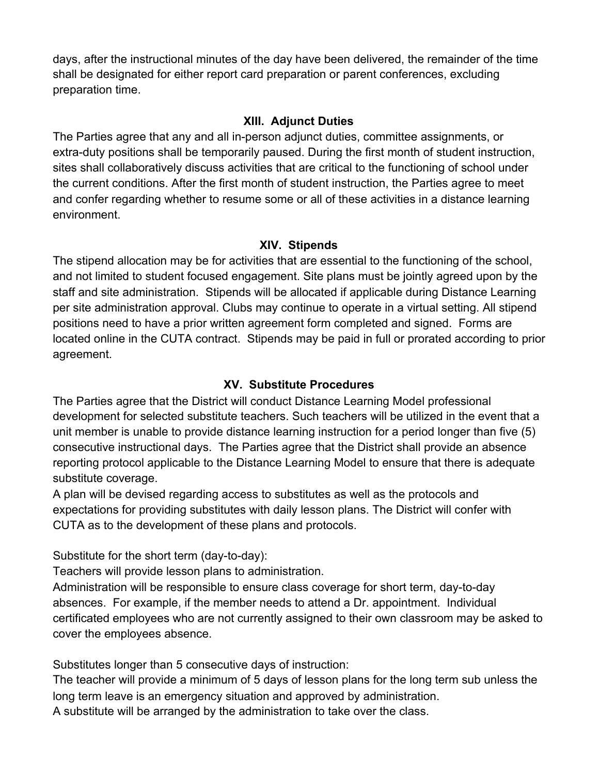days, after the instructional minutes of the day have been delivered, the remainder of the time shall be designated for either report card preparation or parent conferences, excluding preparation time.

#### **XIII. Adjunct Duties**

The Parties agree that any and all in-person adjunct duties, committee assignments, or extra-duty positions shall be temporarily paused. During the first month of student instruction, sites shall collaboratively discuss activities that are critical to the functioning of school under the current conditions. After the first month of student instruction, the Parties agree to meet and confer regarding whether to resume some or all of these activities in a distance learning environment.

#### **XIV. Stipends**

The stipend allocation may be for activities that are essential to the functioning of the school, and not limited to student focused engagement. Site plans must be jointly agreed upon by the staff and site administration. Stipends will be allocated if applicable during Distance Learning per site administration approval. Clubs may continue to operate in a virtual setting. All stipend positions need to have a prior written agreement form completed and signed. Forms are located online in the CUTA contract. Stipends may be paid in full or prorated according to prior agreement.

## **XV. Substitute Procedures**

The Parties agree that the District will conduct Distance Learning Model professional development for selected substitute teachers. Such teachers will be utilized in the event that a unit member is unable to provide distance learning instruction for a period longer than five (5) consecutive instructional days. The Parties agree that the District shall provide an absence reporting protocol applicable to the Distance Learning Model to ensure that there is adequate substitute coverage.

A plan will be devised regarding access to substitutes as well as the protocols and expectations for providing substitutes with daily lesson plans. The District will confer with CUTA as to the development of these plans and protocols.

Substitute for the short term (day-to-day):

Teachers will provide lesson plans to administration.

Administration will be responsible to ensure class coverage for short term, day-to-day absences. For example, if the member needs to attend a Dr. appointment. Individual certificated employees who are not currently assigned to their own classroom may be asked to cover the employees absence.

Substitutes longer than 5 consecutive days of instruction:

The teacher will provide a minimum of 5 days of lesson plans for the long term sub unless the long term leave is an emergency situation and approved by administration.

A substitute will be arranged by the administration to take over the class.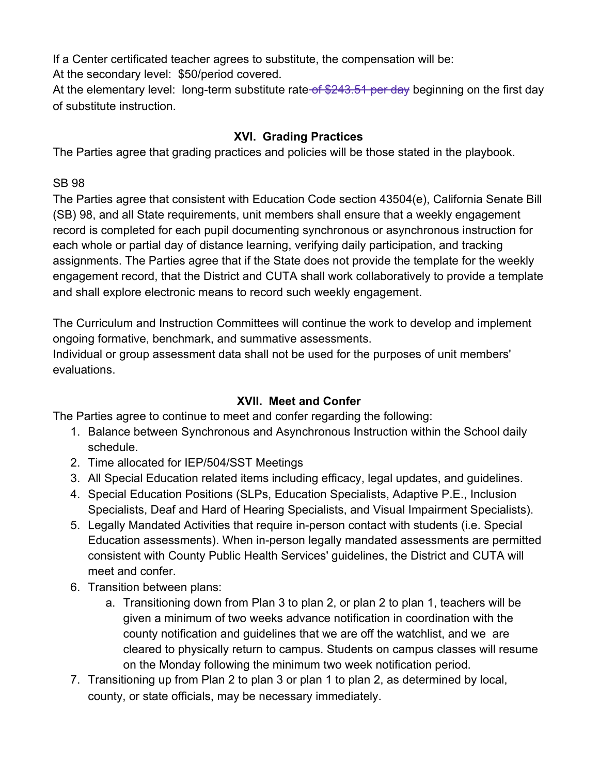If a Center certificated teacher agrees to substitute, the compensation will be:

At the secondary level: \$50/period covered.

At the elementary level: long-term substitute rate of  $$243.51$  per day beginning on the first day of substitute instruction.

## **XVI. Grading Practices**

The Parties agree that grading practices and policies will be those stated in the playbook.

SB 98

The Parties agree that consistent with Education Code section 43504(e), California Senate Bill (SB) 98, and all State requirements, unit members shall ensure that a weekly engagement record is completed for each pupil documenting synchronous or asynchronous instruction for each whole or partial day of distance learning, verifying daily participation, and tracking assignments. The Parties agree that if the State does not provide the template for the weekly engagement record, that the District and CUTA shall work collaboratively to provide a template and shall explore electronic means to record such weekly engagement.

The Curriculum and Instruction Committees will continue the work to develop and implement ongoing formative, benchmark, and summative assessments.

Individual or group assessment data shall not be used for the purposes of unit members' evaluations.

#### **XVII. Meet and Confer**

The Parties agree to continue to meet and confer regarding the following:

- 1. Balance between Synchronous and Asynchronous Instruction within the School daily schedule.
- 2. Time allocated for IEP/504/SST Meetings
- 3. All Special Education related items including efficacy, legal updates, and guidelines.
- 4. Special Education Positions (SLPs, Education Specialists, Adaptive P.E., Inclusion Specialists, Deaf and Hard of Hearing Specialists, and Visual Impairment Specialists).
- 5. Legally Mandated Activities that require in-person contact with students (i.e. Special Education assessments). When in-person legally mandated assessments are permitted consistent with County Public Health Services' guidelines, the District and CUTA will meet and confer.
- 6. Transition between plans:
	- a. Transitioning down from Plan 3 to plan 2, or plan 2 to plan 1, teachers will be given a minimum of two weeks advance notification in coordination with the county notification and guidelines that we are off the watchlist, and we are cleared to physically return to campus. Students on campus classes will resume on the Monday following the minimum two week notification period.
- 7. Transitioning up from Plan 2 to plan 3 or plan 1 to plan 2, as determined by local, county, or state officials, may be necessary immediately.